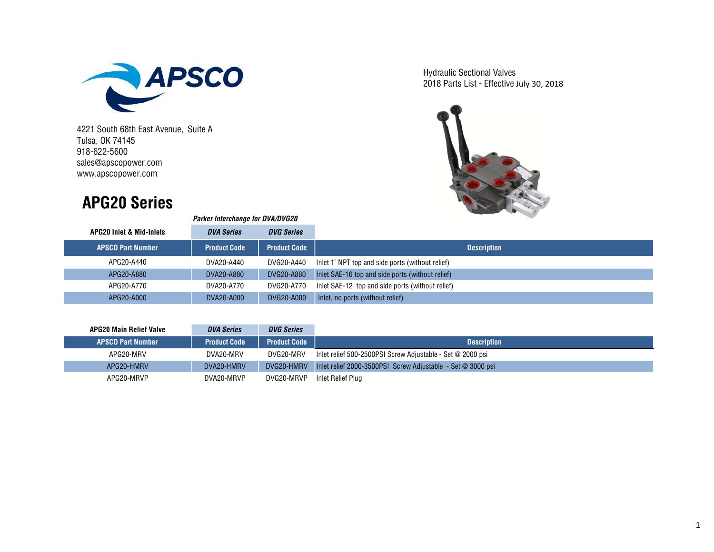

Parker Interchange for DVA/DVG20

Tulsa, OK 74145 918-622-5600 sales@apscopower.com www.apscopower.com

## APG20 Series



| <b>APG20 Inlet &amp; Mid-Inlets</b> | <b>DVA Series</b>   | <b>DVG Series</b>   |                                                  |
|-------------------------------------|---------------------|---------------------|--------------------------------------------------|
| <b>APSCO Part Number</b>            | <b>Product Code</b> | <b>Product Code</b> |                                                  |
| APG20-A440                          | DVA20-A440          | DVG20-A440          | Inlet 1" NPT top and side ports (without relief) |
| APG20-A880                          | DVA20-A880          | DVG20-A880          | Inlet SAE-16 top and side ports (without relief) |
| APG20-A770                          | DVA20-A770          | DVG20-A770          | Inlet SAE-12 top and side ports (without relief) |
| APG20-A000                          | DVA20-A000          | DVG20-A000          | Inlet, no ports (without relief)                 |

| <b>APG20 Main Relief Valve</b> | <b>DVA Series</b>   | <b>DVG Series</b>   |                                                             |
|--------------------------------|---------------------|---------------------|-------------------------------------------------------------|
| <b>APSCO Part Number</b>       | <b>Product Code</b> | <b>Product Code</b> | <b>Description</b>                                          |
| APG20-MRV                      | DVA20-MRV           | DVG20-MRV           | Inlet relief 500-2500PSI Screw Adjustable - Set @ 2000 psi  |
| APG20-HMRV                     | DVA20-HMRV          | DVG20-HMRV          | Inlet relief 2000-3500PSI Screw Adjustable - Set @ 3000 psi |
| APG20-MRVP                     | DVA20-MRVP          | DVG20-MRVP          | Inlet Relief Plug                                           |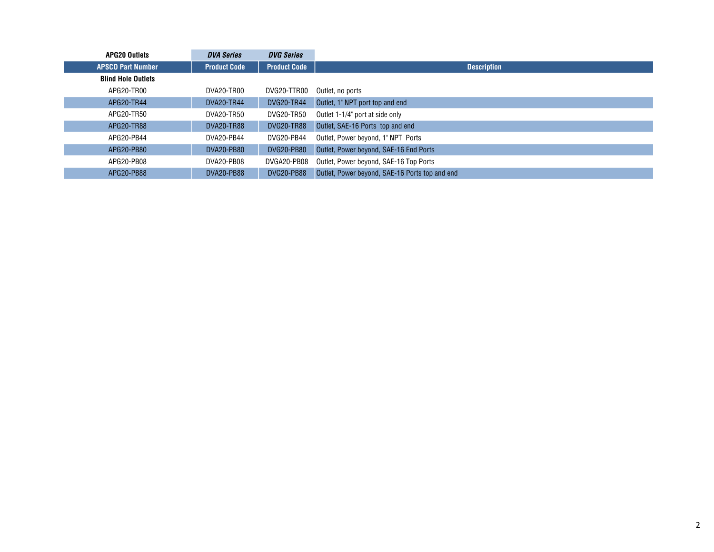| <b>APG20 Outlets</b>      | <b>DVA Series</b>   | <b>DVG Series</b>   |                                                |
|---------------------------|---------------------|---------------------|------------------------------------------------|
| <b>APSCO Part Number</b>  | <b>Product Code</b> | <b>Product Code</b> | <b>Description</b>                             |
| <b>Blind Hole Outlets</b> |                     |                     |                                                |
| APG20-TR00                | DVA20-TR00          | DVG20-TTR00         | Outlet, no ports                               |
| APG20-TR44                | DVA20-TR44          | <b>DVG20-TR44</b>   | Outlet, 1" NPT port top and end                |
| APG20-TR50                | DVA20-TR50          | DVG20-TR50          | Outlet 1-1/4" port at side only                |
| APG20-TR88                | DVA20-TR88          | <b>DVG20-TR88</b>   | Outlet, SAE-16 Ports top and end               |
| APG20-PB44                | DVA20-PB44          | DVG20-PB44          | Outlet, Power beyond, 1" NPT Ports             |
| APG20-PB80                | <b>DVA20-PB80</b>   | DVG20-PB80          | Outlet, Power beyond, SAE-16 End Ports         |
| APG20-PB08                | DVA20-PB08          | DVGA20-PB08         | Outlet, Power beyond, SAE-16 Top Ports         |
| APG20-PB88                | <b>DVA20-PB88</b>   | <b>DVG20-PB88</b>   | Outlet, Power beyond, SAE-16 Ports top and end |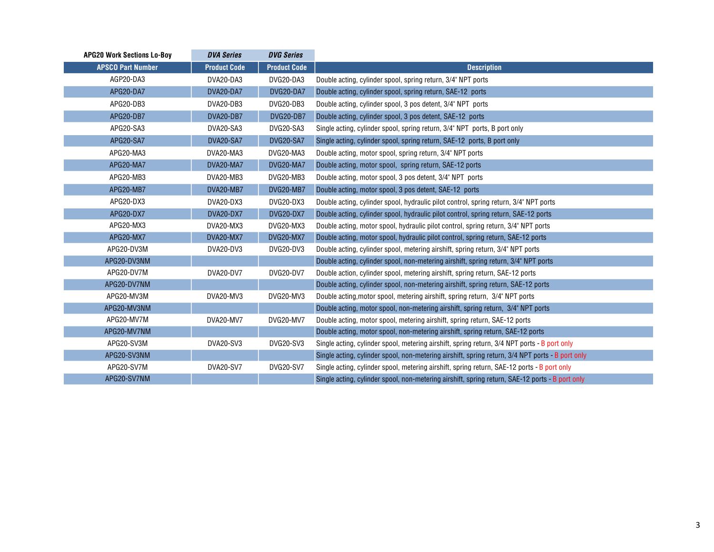| <b>APG20 Work Sections Lo-Boy</b> | <b>DVA Series</b>   | <b>DVG Series</b>   |                                                                                                  |
|-----------------------------------|---------------------|---------------------|--------------------------------------------------------------------------------------------------|
| <b>APSCO Part Number</b>          | <b>Product Code</b> | <b>Product Code</b> | <b>Description</b>                                                                               |
| AGP20-DA3                         | DVA20-DA3           | DVG20-DA3           | Double acting, cylinder spool, spring return, 3/4" NPT ports                                     |
| APG20-DA7                         | DVA20-DA7           | DVG20-DA7           | Double acting, cylinder spool, spring return, SAE-12 ports                                       |
| APG20-DB3                         | DVA20-DB3           | DVG20-DB3           | Double acting, cylinder spool, 3 pos detent, 3/4" NPT ports                                      |
| APG20-DB7                         | DVA20-DB7           | DVG20-DB7           | Double acting, cylinder spool, 3 pos detent, SAE-12 ports                                        |
| APG20-SA3                         | DVA20-SA3           | DVG20-SA3           | Single acting, cylinder spool, spring return, 3/4" NPT ports, B port only                        |
| APG20-SA7                         | DVA20-SA7           | DVG20-SA7           | Single acting, cylinder spool, spring return, SAE-12 ports, B port only                          |
| APG20-MA3                         | DVA20-MA3           | DVG20-MA3           | Double acting, motor spool, spring return, 3/4" NPT ports                                        |
| APG20-MA7                         | DVA20-MA7           | DVG20-MA7           | Double acting, motor spool, spring return, SAE-12 ports                                          |
| APG20-MB3                         | DVA20-MB3           | DVG20-MB3           | Double acting, motor spool, 3 pos detent, 3/4" NPT ports                                         |
| APG20-MB7                         | DVA20-MB7           | DVG20-MB7           | Double acting, motor spool, 3 pos detent, SAE-12 ports                                           |
| APG20-DX3                         | DVA20-DX3           | DVG20-DX3           | Double acting, cylinder spool, hydraulic pilot control, spring return, 3/4" NPT ports            |
| APG20-DX7                         | DVA20-DX7           | DVG20-DX7           | Double acting, cylinder spool, hydraulic pilot control, spring return, SAE-12 ports              |
| APG20-MX3                         | DVA20-MX3           | DVG20-MX3           | Double acting, motor spool, hydraulic pilot control, spring return, 3/4" NPT ports               |
| APG20-MX7                         | DVA20-MX7           | DVG20-MX7           | Double acting, motor spool, hydraulic pilot control, spring return, SAE-12 ports                 |
| APG20-DV3M                        | DVA20-DV3           | DVG20-DV3           | Double acting, cylinder spool, metering airshift, spring return, 3/4" NPT ports                  |
| APG20-DV3NM                       |                     |                     | Double acting, cylinder spool, non-metering airshift, spring return, 3/4" NPT ports              |
| APG20-DV7M                        | DVA20-DV7           | DVG20-DV7           | Double action, cylinder spool, metering airshift, spring return, SAE-12 ports                    |
| APG20-DV7NM                       |                     |                     | Double acting, cylinder spool, non-metering airshift, spring return, SAE-12 ports                |
| APG20-MV3M                        | DVA20-MV3           | DVG20-MV3           | Double acting, motor spool, metering airshift, spring return, 3/4" NPT ports                     |
| APG20-MV3NM                       |                     |                     | Double acting, motor spool, non-metering airshift, spring return, 3/4" NPT ports                 |
| APG20-MV7M                        | DVA20-MV7           | DVG20-MV7           | Double acting, motor spool, metering airshift, spring return, SAE-12 ports                       |
| APG20-MV7NM                       |                     |                     | Double acting, motor spool, non-metering airshift, spring return, SAE-12 ports                   |
| APG20-SV3M                        | DVA20-SV3           | <b>DVG20-SV3</b>    | Single acting, cylinder spool, metering airshift, spring return, 3/4 NPT ports - B port only     |
| APG20-SV3NM                       |                     |                     | Single acting, cylinder spool, non-metering airshift, spring return, 3/4 NPT ports - B port only |
| APG20-SV7M                        | DVA20-SV7           | <b>DVG20-SV7</b>    | Single acting, cylinder spool, metering airshift, spring return, SAE-12 ports - B port only      |
| APG20-SV7NM                       |                     |                     | Single acting, cylinder spool, non-metering airshift, spring return, SAE-12 ports - B port only  |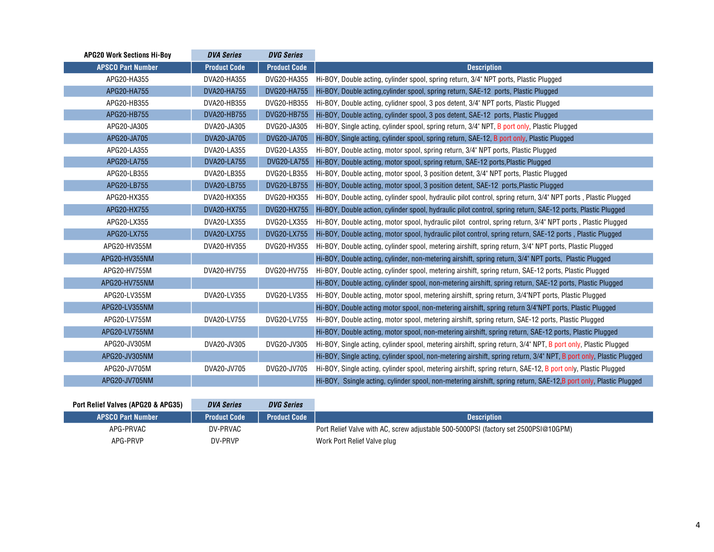| <b>APG20 Work Sections Hi-Boy</b> | <b>DVA Series</b>   | <b>DVG Series</b>   |                                                                                                                     |
|-----------------------------------|---------------------|---------------------|---------------------------------------------------------------------------------------------------------------------|
| <b>APSCO Part Number</b>          | <b>Product Code</b> | <b>Product Code</b> | <b>Description</b>                                                                                                  |
| APG20-HA355                       | DVA20-HA355         | DVG20-HA355         | Hi-BOY, Double acting, cylinder spool, spring return, 3/4" NPT ports, Plastic Plugged                               |
| APG20-HA755                       | DVA20-HA755         | DVG20-HA755         | Hi-BOY, Double acting, cylinder spool, spring return, SAE-12 ports, Plastic Plugged                                 |
| APG20-HB355                       | DVA20-HB355         | DVG20-HB355         | Hi-BOY, Double acting, cylidner spool, 3 pos detent, 3/4" NPT ports, Plastic Plugged                                |
| APG20-HB755                       | DVA20-HB755         | DVG20-HB755         | Hi-BOY, Double acting, cylinder spool, 3 pos detent, SAE-12 ports, Plastic Plugged                                  |
| APG20-JA305                       | DVA20-JA305         | DVG20-JA305         | Hi-BOY, Single acting, cylinder spool, spring return, 3/4" NPT, B port only, Plastic Plugged                        |
| APG20-JA705                       | DVA20-JA705         | DVG20-JA705         | Hi-BOY, Single acting, cylinder spool, spring return, SAE-12, B port only, Plastic Plugged                          |
| APG20-LA355                       | DVA20-LA355         | DVG20-LA355         | Hi-BOY, Double acting, motor spool, spring return, 3/4" NPT ports, Plastic Plugged                                  |
| APG20-LA755                       | DVA20-LA755         | <b>DVG20-LA755</b>  | Hi-BOY, Double acting, motor spool, spring return, SAE-12 ports, Plastic Plugged                                    |
| APG20-LB355                       | DVA20-LB355         | DVG20-LB355         | Hi-BOY, Double acting, motor spool, 3 position detent, 3/4" NPT ports, Plastic Plugged                              |
| APG20-LB755                       | DVA20-LB755         | DVG20-LB755         | Hi-BOY, Double acting, motor spool, 3 position detent, SAE-12 ports, Plastic Plugged                                |
| APG20-HX355                       | DVA20-HX355         | DVG20-HX355         | Hi-BOY, Double acting, cylinder spool, hydraulic pilot control, spring return, 3/4" NPT ports, Plastic Plugged      |
| APG20-HX755                       | DVA20-HX755         | DVG20-HX755         | Hi-BOY, Double action, cylinder spool, hydraulic pilot control, spring return, SAE-12 ports, Plastic Plugged        |
| APG20-LX355                       | DVA20-LX355         | DVG20-LX355         | Hi-BOY, Double acting, motor spool, hydraulic pilot control, spring return, 3/4" NPT ports, Plastic Plugged         |
| APG20-LX755                       | DVA20-LX755         | DVG20-LX755         | Hi-BOY, Double acting, motor spool, hydraulic pilot control, spring return, SAE-12 ports, Plastic Plugged           |
| APG20-HV355M                      | DVA20-HV355         | DVG20-HV355         | Hi-BOY, Double acting, cylinder spool, metering airshift, spring return, 3/4" NPT ports, Plastic Plugged            |
| APG20-HV355NM                     |                     |                     | Hi-BOY, Double acting, cylinder, non-metering airshift, spring return, 3/4" NPT ports, Plastic Plugged              |
| APG20-HV755M                      | DVA20-HV755         | DVG20-HV755         | Hi-BOY, Double acting, cylinder spool, metering airshift, spring return, SAE-12 ports, Plastic Plugged              |
| APG20-HV755NM                     |                     |                     | Hi-BOY, Double acting, cylinder spool, non-metering airshift, spring return, SAE-12 ports, Plastic Plugged          |
| APG20-LV355M                      | DVA20-LV355         | DVG20-LV355         | Hi-BOY, Double acting, motor spool, metering airshift, spring return, 3/4"NPT ports, Plastic Plugged                |
| APG20-LV355NM                     |                     |                     | Hi-BOY, Double acting motor spool, non-metering airshift, spring return 3/4"NPT ports, Plastic Plugged              |
| APG20-LV755M                      | DVA20-LV755         | DVG20-LV755         | Hi-BOY, Double acting, motor spool, metering airshift, spring return, SAE-12 ports, Plastic Plugged                 |
| APG20-LV755NM                     |                     |                     | Hi-BOY, Double acting, motor spool, non-metering airshift, spring return, SAE-12 ports, Plastic Plugged             |
| APG20-JV305M                      | DVA20-JV305         | DVG20-JV305         | Hi-BOY, Single acting, cylinder spool, metering airshift, spring return, 3/4" NPT, B port only, Plastic Plugged     |
| APG20-JV305NM                     |                     |                     | Hi-BOY, Single acting, cylinder spool, non-metering airshift, spring return, 3/4" NPT, B port only, Plastic Plugged |
| APG20-JV705M                      | DVA20-JV705         | DVG20-JV705         | Hi-BOY, Single acting, cylinder spool, metering airshift, spring return, SAE-12, B port only, Plastic Plugged       |
| APG20-JV705NM                     |                     |                     | Hi-BOY, Ssingle acting, cylinder spool, non-metering airshift, spring return, SAE-12,B port only, Plastic Plugged   |

| Port Relief Valves (APG20 & APG35) | <b>DVA Series</b>   | <b>DVG Series</b>   |                                                                                     |
|------------------------------------|---------------------|---------------------|-------------------------------------------------------------------------------------|
| <b>APSCO Part Number</b>           | <b>Product Code</b> | <b>Product Code</b> | <b>Description</b>                                                                  |
| APG-PRVAC                          | DV-PRVAC            |                     | Port Relief Valve with AC, screw adjustable 500-5000PSI (factory set 2500PSI@10GPM) |
| APG-PRVP                           | DV-PRVP             |                     | Work Port Relief Valve plug                                                         |